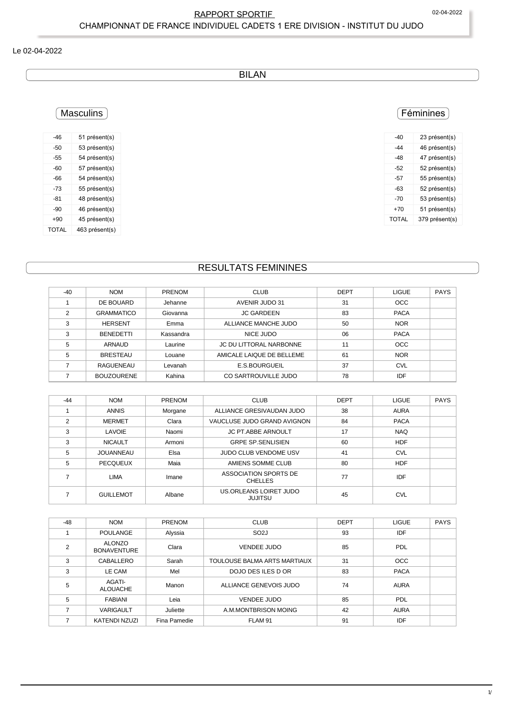# RAPPORT SPORTIF 
02-04-2022 CHAMPIONNAT DE FRANCE INDIVIDUEL CADETS 1 ERE DIVISION - INSTITUT DU JUDO

#### Le 02-04-2022

BILAN

# Féminines

| -40   | 23 présent(s)  |
|-------|----------------|
| -44   | 46 présent(s)  |
| -48   | 47 présent(s)  |
| $-52$ | 52 présent(s)  |
| -57   | 55 présent(s)  |
| -63   | 52 présent(s)  |
| -70   | 53 présent(s)  |
| +70   | 51 présent(s)  |
| TOTAL | 379 présent(s) |

### -46 51 présent(s) -50 53 présent(s) -55 54 présent(s) -60 57 présent(s) -66 54 présent(s) -73 55 présent(s) -81 48 présent(s) -90 46 présent(s) +90 45 présent(s) TOTAL 463 présent(s)

**Masculins** 

# RESULTATS FEMININES

| $-40$ | <b>NOM</b>        | <b>PRENOM</b> | <b>CLUB</b>               | <b>DEPT</b> | <b>LIGUE</b> | <b>PAYS</b> |
|-------|-------------------|---------------|---------------------------|-------------|--------------|-------------|
|       | DE BOUARD         | Jehanne       | AVENIR JUDO 31            | 31          | <b>OCC</b>   |             |
| 2     | <b>GRAMMATICO</b> | Giovanna      | <b>JC GARDEEN</b>         | 83          | <b>PACA</b>  |             |
| 3     | <b>HERSENT</b>    | Emma          | ALLIANCE MANCHE JUDO      | 50          | <b>NOR</b>   |             |
| 3     | <b>BENEDETTI</b>  | Kassandra     | NICE JUDO                 | 06          | <b>PACA</b>  |             |
| 5     | ARNAUD            | Laurine       | JC DU LITTORAL NARBONNE   | 11          | <b>OCC</b>   |             |
| 5     | <b>BRESTEAU</b>   | Louane        | AMICALE LAIQUE DE BELLEME | 61          | <b>NOR</b>   |             |
|       | RAGUENEAU         | Levanah       | E.S.BOURGUEIL             | 37          | <b>CVL</b>   |             |
|       | <b>BOUZOURENE</b> | Kahina        | CO SARTROUVILLE JUDO      | 78          | <b>IDF</b>   |             |

| $-44$         | <b>NOM</b>       | PRENOM  | <b>CLUB</b>                             | <b>DEPT</b> | <b>LIGUE</b> | <b>PAYS</b> |
|---------------|------------------|---------|-----------------------------------------|-------------|--------------|-------------|
|               | <b>ANNIS</b>     | Morgane | ALLIANCE GRESIVAUDAN JUDO               | 38          | <b>AURA</b>  |             |
| $\mathcal{P}$ | <b>MERMET</b>    | Clara   | VAUCLUSE JUDO GRAND AVIGNON             | 84          | <b>PACA</b>  |             |
| 3             | <b>LAVOIE</b>    | Naomi   | <b>JC PT ABBE ARNOULT</b>               | 17          | <b>NAQ</b>   |             |
| 3             | <b>NICAULT</b>   | Armoni  | <b>GRPE SP SENLISIEN</b>                | 60          | <b>HDF</b>   |             |
| 5             | JOUANNEAU        | Elsa    | JUDO CLUB VENDOME USV                   | 41          | <b>CVL</b>   |             |
| 5             | <b>PECQUEUX</b>  | Maia    | AMIENS SOMME CLUB                       | 80          | <b>HDF</b>   |             |
|               | <b>LIMA</b>      | Imane   | ASSOCIATION SPORTS DE<br><b>CHELLES</b> | 77          | IDF          |             |
|               | <b>GUILLEMOT</b> | Albane  | US.ORLEANS LOIRET JUDO<br>JUJITSU       | 45          | <b>CVL</b>   |             |

| $-48$          | <b>NOM</b>                          | PRENOM       | <b>CLUB</b>                  | <b>DEPT</b> | <b>LIGUE</b> | <b>PAYS</b> |
|----------------|-------------------------------------|--------------|------------------------------|-------------|--------------|-------------|
|                | <b>POULANGE</b>                     | Alyssia      | SO <sub>2</sub> J            | 93          | IDF          |             |
| $\overline{2}$ | <b>ALONZO</b><br><b>BONAVENTURE</b> | Clara        | <b>VENDEE JUDO</b>           | 85          | PDL          |             |
| 3              | CABALLERO                           | Sarah        | TOULOUSE BALMA ARTS MARTIAUX | 31          | <b>OCC</b>   |             |
| 3              | LE CAM                              | Mel          | DOJO DESILES D OR            | 83          | <b>PACA</b>  |             |
| 5              | <b>AGATI-</b><br><b>ALOUACHE</b>    | Manon        | ALLIANCE GENEVOIS JUDO       | 74          | <b>AURA</b>  |             |
| 5              | <b>FABIANI</b>                      | Leia         | <b>VENDEE JUDO</b>           | 85          | <b>PDL</b>   |             |
|                | <b>VARIGAULT</b>                    | Juliette     | A.M.MONTBRISON MOING         | 42          | <b>AURA</b>  |             |
|                | KATENDI NZUZI                       | Fina Pamedie | FLAM 91                      | 91          | IDF          |             |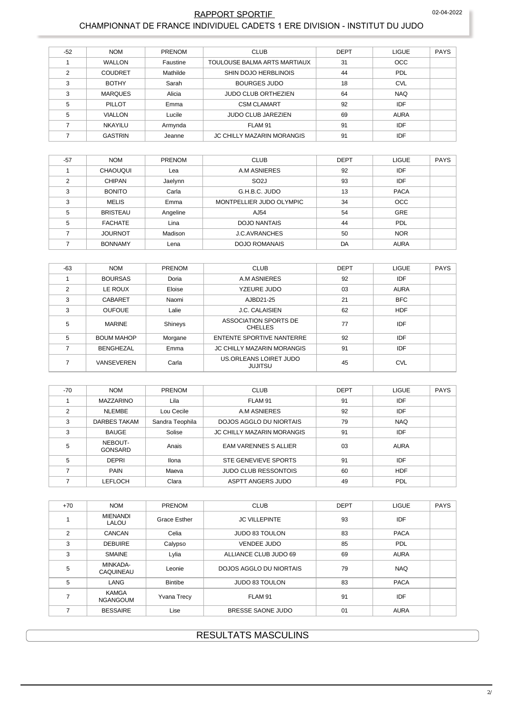#### RAPPORT SPORTIF CHAMPIONNAT DE FRANCE INDIVIDUEL CADETS 1 ERE DIVISION - INSTITUT DU JUDO

| $-52$ | <b>NOM</b>     | <b>PRENOM</b> | <b>CLUB</b>                       | <b>DEPT</b> | <b>LIGUE</b> | <b>PAYS</b> |
|-------|----------------|---------------|-----------------------------------|-------------|--------------|-------------|
|       | <b>WALLON</b>  | Faustine      | TOULOUSE BALMA ARTS MARTIAUX      | 31          | <b>OCC</b>   |             |
| っ     | <b>COUDRET</b> | Mathilde      | SHIN DOJO HERBLINOIS              | 44          | PDL          |             |
| 3     | <b>BOTHY</b>   | Sarah         | <b>BOURGES JUDO</b>               | 18          | <b>CVL</b>   |             |
| 3     | <b>MARQUES</b> | Alicia        | <b>JUDO CLUB ORTHEZIEN</b>        | 64          | <b>NAQ</b>   |             |
| 5     | PILLOT         | Emma          | <b>CSM CLAMART</b>                | 92          | IDF          |             |
| 5     | <b>VIALLON</b> | Lucile        | <b>JUDO CLUB JAREZIEN</b>         | 69          | <b>AURA</b>  |             |
|       | <b>NKAYILU</b> | Armynda       | FLAM 91                           | 91          | IDF          |             |
|       | <b>GASTRIN</b> | Jeanne        | <b>JC CHILLY MAZARIN MORANGIS</b> | 91          | IDF          |             |

| $-57$         | <b>NOM</b>      | <b>PRENOM</b> | <b>CLUB</b>              | <b>DEPT</b> | <b>LIGUE</b> | <b>PAYS</b> |
|---------------|-----------------|---------------|--------------------------|-------------|--------------|-------------|
|               | <b>CHAOUQUI</b> | Lea           | A.M ASNIERES             | 92          | IDF          |             |
| $\mathcal{P}$ | <b>CHIPAN</b>   | Jaelynn       | SO <sub>2</sub> J        | 93          | <b>IDF</b>   |             |
| 3             | <b>BONITO</b>   | Carla         | G.H.B.C. JUDO            | 13          | <b>PACA</b>  |             |
| 3             | <b>MELIS</b>    | Emma          | MONTPELLIER JUDO OLYMPIC | 34          | <b>OCC</b>   |             |
| 5             | <b>BRISTEAU</b> | Angeline      | AJ54                     | 54          | GRE          |             |
| 5             | <b>FACHATE</b>  | Lina          | <b>DOJO NANTAIS</b>      | 44          | PDL          |             |
|               | <b>JOURNOT</b>  | Madison       | <b>J.C.AVRANCHES</b>     | 50          | <b>NOR</b>   |             |
|               | <b>BONNAMY</b>  | Lena          | <b>DOJO ROMANAIS</b>     | DA          | <b>AURA</b>  |             |

| $-63$         | <b>NOM</b>        | PRENOM  | <b>CLUB</b>                              | <b>DEPT</b> | <b>LIGUE</b> | <b>PAYS</b> |
|---------------|-------------------|---------|------------------------------------------|-------------|--------------|-------------|
|               | <b>BOURSAS</b>    | Doria   | A.M ASNIERES                             | 92          | IDF          |             |
| $\mathcal{P}$ | LE ROUX           | Eloise  | YZEURE JUDO                              | 03          | <b>AURA</b>  |             |
| 3             | <b>CABARET</b>    | Naomi   | AJBD21-25                                | 21          | <b>BFC</b>   |             |
| 3             | <b>OUFOUE</b>     | Lalie   | <b>J.C. CALAISIEN</b>                    | 62          | <b>HDF</b>   |             |
| 5             | <b>MARINE</b>     | Shineys | ASSOCIATION SPORTS DE<br><b>CHELLES</b>  | 77          | IDF          |             |
| 5             | <b>BOUM MAHOP</b> | Morgane | <b>ENTENTE SPORTIVE NANTERRE</b>         | 92          | IDF          |             |
|               | <b>BENGHEZAL</b>  | Emma    | <b>JC CHILLY MAZARIN MORANGIS</b>        | 91          | IDF          |             |
|               | <b>VANSEVEREN</b> | Carla   | US.ORLEANS LOIRET JUDO<br><b>JUJITSU</b> | 45          | <b>CVL</b>   |             |

| -70 | <b>NOM</b>                | PRENOM          | <b>CLUB</b>                       | <b>DEPT</b> | <b>LIGUE</b> | PAYS |
|-----|---------------------------|-----------------|-----------------------------------|-------------|--------------|------|
|     | <b>MAZZARINO</b>          | Lila            | FLAM 91                           | 91          | IDF          |      |
| 2   | <b>NLEMBE</b>             | Lou Cecile      | A.M ASNIERES                      | 92          | IDF          |      |
| 3   | DARBES TAKAM              | Sandra Teophila | DOJOS AGGLO DU NIORTAIS           | 79          | <b>NAQ</b>   |      |
| 3   | <b>BAUGE</b>              | Solise          | <b>JC CHILLY MAZARIN MORANGIS</b> | 91          | IDF          |      |
| 5   | NEBOUT-<br><b>GONSARD</b> | Anais           | <b>EAM VARENNES S ALLIER</b>      | 03          | AURA         |      |
| 5   | <b>DEPRI</b>              | <b>Ilona</b>    | STE GENEVIEVE SPORTS              | 91          | IDF          |      |
|     | <b>PAIN</b>               | Maeva           | <b>JUDO CLUB RESSONTOIS</b>       | 60          | <b>HDF</b>   |      |
|     | LEFLOCH                   | Clara           | ASPTT ANGERS JUDO                 | 49          | PDL          |      |

| $+70$          | <b>NOM</b>                      | PRENOM             | <b>CLUB</b>             | <b>DEPT</b> | <b>LIGUE</b> | <b>PAYS</b> |
|----------------|---------------------------------|--------------------|-------------------------|-------------|--------------|-------------|
|                | <b>MIENANDI</b><br>LALOU        | Grace Esther       | <b>JC VILLEPINTE</b>    | 93          | IDF          |             |
| $\overline{2}$ | <b>CANCAN</b>                   | Celia              | <b>JUDO 83 TOULON</b>   | 83          | <b>PACA</b>  |             |
| 3              | <b>DEBUIRE</b>                  | Calypso            | <b>VENDEE JUDO</b>      | 85          | <b>PDL</b>   |             |
| 3              | <b>SMAINE</b>                   | Lylia              | ALLIANCE CLUB JUDO 69   | 69          | <b>AURA</b>  |             |
| 5              | MINKADA-<br>CAQUINEAU           | Leonie             | DOJOS AGGLO DU NIORTAIS | 79          | <b>NAQ</b>   |             |
| 5              | LANG                            | <b>Bintibe</b>     | <b>JUDO 83 TOULON</b>   | 83          | <b>PACA</b>  |             |
|                | <b>KAMGA</b><br><b>NGANGOUM</b> | <b>Yvana Trecy</b> | FLAM 91                 | 91          | IDF          |             |
| 7              | <b>BESSAIRE</b>                 | Lise               | BRESSE SAONE JUDO       | 01          | <b>AURA</b>  |             |

# **RESULTATS MASCULINS**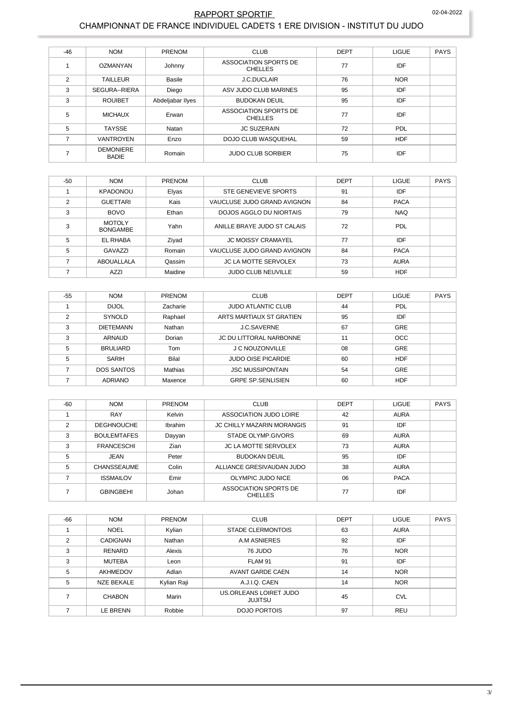#### 02-04-2022 RAPPORT SPORTIF CHAMPIONNAT DE FRANCE INDIVIDUEL CADETS 1 ERE DIVISION - INSTITUT DU JUDO

| $-46$          | <b>NOM</b>                       | PRENOM           | <b>CLUB</b>                             | <b>DEPT</b> | <b>LIGUE</b> | <b>PAYS</b> |
|----------------|----------------------------------|------------------|-----------------------------------------|-------------|--------------|-------------|
|                | OZMANYAN                         | Johnny           | ASSOCIATION SPORTS DE<br><b>CHELLES</b> | 77          | IDF          |             |
| $\overline{2}$ | <b>TAILLEUR</b>                  | <b>Basile</b>    | <b>J.C.DUCLAIR</b>                      | 76          | <b>NOR</b>   |             |
| 3              | SEGURA--RIERA                    | Diego            | ASV JUDO CLUB MARINES                   | 95          | IDF          |             |
| 3              | <b>ROUIBET</b>                   | Abdeljabar Ilyes | <b>BUDOKAN DEUIL</b>                    | 95          | IDF          |             |
| 5              | <b>MICHAUX</b>                   | Erwan            | ASSOCIATION SPORTS DE<br><b>CHELLES</b> | 77          | IDF          |             |
| 5              | <b>TAYSSE</b>                    | Natan            | <b>JC SUZERAIN</b>                      | 72          | PDL          |             |
| ⇁              | <b>VANTROYEN</b>                 | Enzo             | DOJO CLUB WASQUEHAL                     | 59          | <b>HDF</b>   |             |
|                | <b>DEMONIERE</b><br><b>BADIE</b> | Romain           | <b>JUDO CLUB SORBIER</b>                | 75          | IDF          |             |

| $-50$ | <b>NOM</b>                       | <b>PRENOM</b> | <b>CLUB</b>                 | <b>DEPT</b> | <b>LIGUE</b> | <b>PAYS</b> |
|-------|----------------------------------|---------------|-----------------------------|-------------|--------------|-------------|
|       | <b>KPADONOU</b>                  | Elyas         | STE GENEVIEVE SPORTS        | 91          | IDF          |             |
| 2     | <b>GUETTARI</b>                  | Kais          | VAUCLUSE JUDO GRAND AVIGNON | 84          | <b>PACA</b>  |             |
| 3     | <b>BOVO</b>                      | Ethan         | DOJOS AGGLO DU NIORTAIS     | 79          | <b>NAQ</b>   |             |
| 3     | <b>MOTOLY</b><br><b>BONGAMBE</b> | Yahn          | ANILLE BRAYE JUDO ST CALAIS | 72          | PDL          |             |
| 5     | <b>EL RHABA</b>                  | Ziyad         | <b>JC MOISSY CRAMAYEL</b>   | 77          | IDF          |             |
| 5     | GAVAZZI                          | Romain        | VAUCLUSE JUDO GRAND AVIGNON | 84          | <b>PACA</b>  |             |
|       | ABOUALLALA                       | Qassim        | <b>JC LA MOTTE SERVOLEX</b> | 73          | <b>AURA</b>  |             |
|       | AZZI                             | Maidine       | <b>JUDO CLUB NEUVILLE</b>   | 59          | <b>HDF</b>   |             |

| $-55$ | <b>NOM</b>        | <b>PRENOM</b> | <b>CLUB</b>                    | <b>DEPT</b> | <b>LIGUE</b> | <b>PAYS</b> |
|-------|-------------------|---------------|--------------------------------|-------------|--------------|-------------|
|       | <b>DIJOL</b>      | Zacharie      | <b>JUDO ATLANTIC CLUB</b>      | 44          | PDL          |             |
| C     | <b>SYNOLD</b>     | Raphael       | ARTS MARTIAUX ST GRATIEN       | 95          | IDF          |             |
| 3     | <b>DIETEMANN</b>  | Nathan        | <b>J.C.SAVERNE</b>             | 67          | <b>GRE</b>   |             |
| 3     | <b>ARNAUD</b>     | Dorian        | <b>JC DU LITTORAL NARBONNE</b> | 11          | <b>OCC</b>   |             |
| 5     | <b>BRULIARD</b>   | Tom           | <b>J C NOUZONVILLE</b>         | 08          | GRE          |             |
| 5     | SARIH             | Bilal         | <b>JUDO OISE PICARDIE</b>      | 60          | <b>HDF</b>   |             |
|       | <b>DOS SANTOS</b> | Mathias       | <b>JSC MUSSIPONTAIN</b>        | 54          | <b>GRE</b>   |             |
|       | <b>ADRIANO</b>    | Maxence       | <b>GRPE SP SENLISIEN</b>       | 60          | <b>HDF</b>   |             |

| $-60$         | <b>NOM</b>         | <b>PRENOM</b> | <b>CLUB</b>                             | <b>DEPT</b> | LIGUE       | <b>PAYS</b> |
|---------------|--------------------|---------------|-----------------------------------------|-------------|-------------|-------------|
|               | <b>RAY</b>         | Kelvin        | ASSOCIATION JUDO LOIRE                  | 42          | <b>AURA</b> |             |
| $\mathcal{P}$ | <b>DEGHNOUCHE</b>  | Ibrahim       | <b>JC CHILLY MAZARIN MORANGIS</b>       | 91          | IDF         |             |
| 3             | <b>BOULEMTAFES</b> | Dayyan        | STADE OLYMP.GIVORS                      | 69          | <b>AURA</b> |             |
| 3             | <b>FRANCESCHI</b>  | Zian          | <b>JC LA MOTTE SERVOLEX</b>             | 73          | <b>AURA</b> |             |
| 5             | <b>JEAN</b>        | Peter         | <b>BUDOKAN DEUIL</b>                    | 95          | IDF         |             |
| 5             | <b>CHANSSEAUME</b> | Colin         | ALLIANCE GRESIVAUDAN JUDO               | 38          | <b>AURA</b> |             |
|               | <b>ISSMAILOV</b>   | Emir          | OLYMPIC JUDO NICE                       | 06          | <b>PACA</b> |             |
|               | <b>GBINGBEHI</b>   | Johan         | ASSOCIATION SPORTS DE<br><b>CHELLES</b> | 77          | IDF         |             |

| $-66$          | <b>NOM</b>        | <b>PRENOM</b> | <b>CLUB</b>                              | <b>DEPT</b> | <b>LIGUE</b> | <b>PAYS</b> |
|----------------|-------------------|---------------|------------------------------------------|-------------|--------------|-------------|
|                | <b>NOEL</b>       | Kylian        | <b>STADE CLERMONTOIS</b>                 | 63          | <b>AURA</b>  |             |
| $\mathfrak{p}$ | <b>CADIGNAN</b>   | Nathan        | A.M ASNIERES                             | 92          | IDF          |             |
| 3              | <b>RENARD</b>     | Alexis        | 76 JUDO                                  | 76          | <b>NOR</b>   |             |
| 3              | <b>MUTEBA</b>     | Leon          | FLAM 91                                  | 91          | IDF          |             |
| 5              | AKHMEDOV          | Adlan         | AVANT GARDE CAEN                         | 14          | <b>NOR</b>   |             |
| 5              | <b>NZE BEKALE</b> | Kylian Raji   | A.J.I.Q. CAEN                            | 14          | <b>NOR</b>   |             |
|                | <b>CHABON</b>     | Marin         | US.ORLEANS LOIRET JUDO<br><b>JUJITSU</b> | 45          | <b>CVL</b>   |             |
|                | LE BRENN          | Robbie        | DOJO PORTOIS                             | 97          | <b>REU</b>   |             |